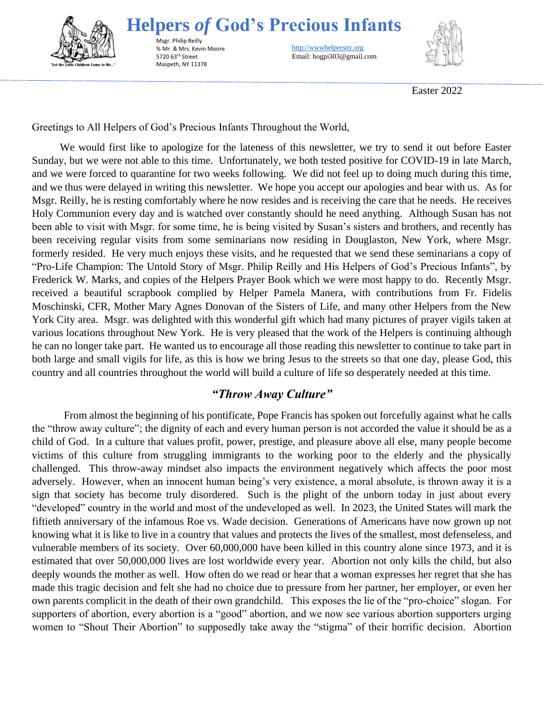

**Helpers** *of* **God's Precious Infants**

Msgr. Philip Reilly % Mr. & Mrs. Kevin Moore 5720 63rd Street Maspeth, NY 11378

http://wwwhelpersny.org Email: hogpi303@gmail.com



Easter 2022

Greetings to All Helpers of God's Precious Infants Throughout the World,

We would first like to apologize for the lateness of this newsletter, we try to send it out before Easter Sunday, but we were not able to this time. Unfortunately, we both tested positive for COVID-19 in late March, and we were forced to quarantine for two weeks following. We did not feel up to doing much during this time, and we thus were delayed in writing this newsletter. We hope you accept our apologies and bear with us. As for Msgr. Reilly, he is resting comfortably where he now resides and is receiving the care that he needs. He receives Holy Communion every day and is watched over constantly should he need anything. Although Susan has not been able to visit with Msgr. for some time, he is being visited by Susan's sisters and brothers, and recently has been receiving regular visits from some seminarians now residing in Douglaston, New York, where Msgr. formerly resided. He very much enjoys these visits, and he requested that we send these seminarians a copy of "Pro-Life Champion: The Untold Story of Msgr. Philip Reilly and His Helpers of God's Precious Infants", by Frederick W. Marks, and copies of the Helpers Prayer Book which we were most happy to do. Recently Msgr. received a beautiful scrapbook complied by Helper Pamela Manera, with contributions from Fr. Fidelis Moschinski, CFR, Mother Mary Agnes Donovan of the Sisters of Life, and many other Helpers from the New York City area. Msgr. was delighted with this wonderful gift which had many pictures of prayer vigils taken at various locations throughout New York. He is very pleased that the work of the Helpers is continuing although he can no longer take part. He wanted us to encourage all those reading this newsletter to continue to take part in both large and small vigils for life, as this is how we bring Jesus to the streets so that one day, please God, this country and all countries throughout the world will build a culture of life so desperately needed at this time.

# *"Throw Away Culture"*

From almost the beginning of his pontificate, Pope Francis has spoken out forcefully against what he calls the "throw away culture"; the dignity of each and every human person is not accorded the value it should be as a child of God. In a culture that values profit, power, prestige, and pleasure above all else, many people become victims of this culture from struggling immigrants to the working poor to the elderly and the physically challenged. This throw-away mindset also impacts the environment negatively which affects the poor most adversely. However, when an innocent human being's very existence, a moral absolute, is thrown away it is a sign that society has become truly disordered. Such is the plight of the unborn today in just about every "developed" country in the world and most of the undeveloped as well. In 2023, the United States will mark the fiftieth anniversary of the infamous Roe vs. Wade decision. Generations of Americans have now grown up not knowing what it is like to live in a country that values and protects the lives of the smallest, most defenseless, and vulnerable members of its society. Over 60,000,000 have been killed in this country alone since 1973, and it is estimated that over 50,000,000 lives are lost worldwide every year. Abortion not only kills the child, but also deeply wounds the mother as well. How often do we read or hear that a woman expresses her regret that she has made this tragic decision and felt she had no choice due to pressure from her partner, her employer, or even her own parents complicit in the death of their own grandchild. This exposes the lie of the "pro-choice" slogan. For supporters of abortion, every abortion is a "good" abortion, and we now see various abortion supporters urging women to "Shout Their Abortion" to supposedly take away the "stigma" of their horrific decision. Abortion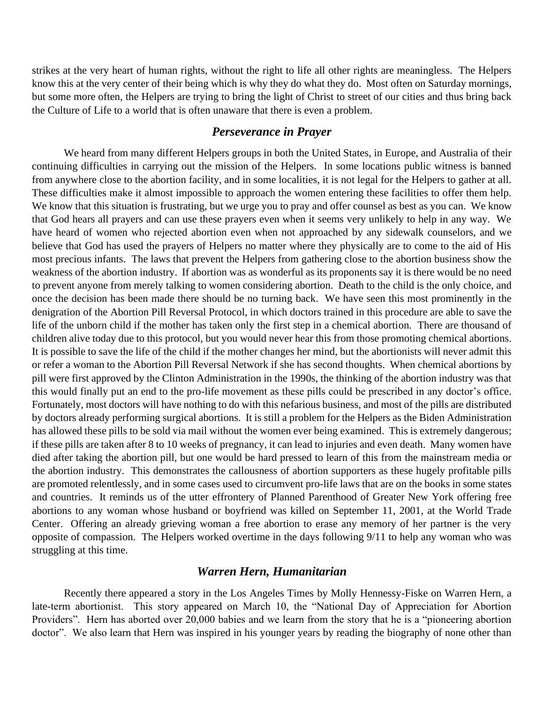strikes at the very heart of human rights, without the right to life all other rights are meaningless. The Helpers know this at the very center of their being which is why they do what they do. Most often on Saturday mornings, but some more often, the Helpers are trying to bring the light of Christ to street of our cities and thus bring back the Culture of Life to a world that is often unaware that there is even a problem.

### *Perseverance in Prayer*

We heard from many different Helpers groups in both the United States, in Europe, and Australia of their continuing difficulties in carrying out the mission of the Helpers. In some locations public witness is banned from anywhere close to the abortion facility, and in some localities, it is not legal for the Helpers to gather at all. These difficulties make it almost impossible to approach the women entering these facilities to offer them help. We know that this situation is frustrating, but we urge you to pray and offer counsel as best as you can. We know that God hears all prayers and can use these prayers even when it seems very unlikely to help in any way. We have heard of women who rejected abortion even when not approached by any sidewalk counselors, and we believe that God has used the prayers of Helpers no matter where they physically are to come to the aid of His most precious infants. The laws that prevent the Helpers from gathering close to the abortion business show the weakness of the abortion industry. If abortion was as wonderful as its proponents say it is there would be no need to prevent anyone from merely talking to women considering abortion. Death to the child is the only choice, and once the decision has been made there should be no turning back. We have seen this most prominently in the denigration of the Abortion Pill Reversal Protocol, in which doctors trained in this procedure are able to save the life of the unborn child if the mother has taken only the first step in a chemical abortion. There are thousand of children alive today due to this protocol, but you would never hear this from those promoting chemical abortions. It is possible to save the life of the child if the mother changes her mind, but the abortionists will never admit this or refer a woman to the Abortion Pill Reversal Network if she has second thoughts. When chemical abortions by pill were first approved by the Clinton Administration in the 1990s, the thinking of the abortion industry was that this would finally put an end to the pro-life movement as these pills could be prescribed in any doctor's office. Fortunately, most doctors will have nothing to do with this nefarious business, and most of the pills are distributed by doctors already performing surgical abortions. It is still a problem for the Helpers as the Biden Administration has allowed these pills to be sold via mail without the women ever being examined. This is extremely dangerous; if these pills are taken after 8 to 10 weeks of pregnancy, it can lead to injuries and even death. Many women have died after taking the abortion pill, but one would be hard pressed to learn of this from the mainstream media or the abortion industry. This demonstrates the callousness of abortion supporters as these hugely profitable pills are promoted relentlessly, and in some cases used to circumvent pro-life laws that are on the books in some states and countries. It reminds us of the utter effrontery of Planned Parenthood of Greater New York offering free abortions to any woman whose husband or boyfriend was killed on September 11, 2001, at the World Trade Center. Offering an already grieving woman a free abortion to erase any memory of her partner is the very opposite of compassion. The Helpers worked overtime in the days following 9/11 to help any woman who was struggling at this time.

## *Warren Hern, Humanitarian*

Recently there appeared a story in the Los Angeles Times by Molly Hennessy-Fiske on Warren Hern, a late-term abortionist. This story appeared on March 10, the "National Day of Appreciation for Abortion Providers". Hern has aborted over 20,000 babies and we learn from the story that he is a "pioneering abortion doctor". We also learn that Hern was inspired in his younger years by reading the biography of none other than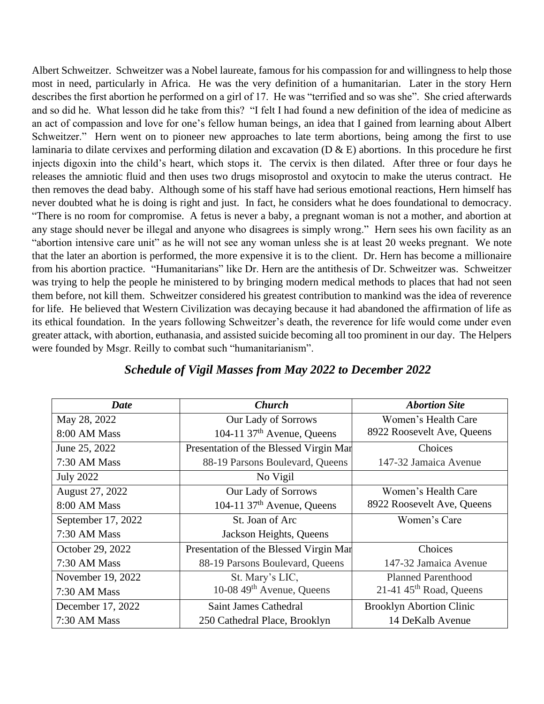Albert Schweitzer. Schweitzer was a Nobel laureate, famous for his compassion for and willingness to help those most in need, particularly in Africa. He was the very definition of a humanitarian. Later in the story Hern describes the first abortion he performed on a girl of 17. He was "terrified and so was she". She cried afterwards and so did he. What lesson did he take from this? "I felt I had found a new definition of the idea of medicine as an act of compassion and love for one's fellow human beings, an idea that I gained from learning about Albert Schweitzer." Hern went on to pioneer new approaches to late term abortions, being among the first to use laminaria to dilate cervixes and performing dilation and excavation ( $D \& E$ ) abortions. In this procedure he first injects digoxin into the child's heart, which stops it. The cervix is then dilated. After three or four days he releases the amniotic fluid and then uses two drugs misoprostol and oxytocin to make the uterus contract. He then removes the dead baby. Although some of his staff have had serious emotional reactions, Hern himself has never doubted what he is doing is right and just. In fact, he considers what he does foundational to democracy. "There is no room for compromise. A fetus is never a baby, a pregnant woman is not a mother, and abortion at any stage should never be illegal and anyone who disagrees is simply wrong." Hern sees his own facility as an "abortion intensive care unit" as he will not see any woman unless she is at least 20 weeks pregnant. We note that the later an abortion is performed, the more expensive it is to the client. Dr. Hern has become a millionaire from his abortion practice. "Humanitarians" like Dr. Hern are the antithesis of Dr. Schweitzer was. Schweitzer was trying to help the people he ministered to by bringing modern medical methods to places that had not seen them before, not kill them. Schweitzer considered his greatest contribution to mankind was the idea of reverence for life. He believed that Western Civilization was decaying because it had abandoned the affirmation of life as its ethical foundation. In the years following Schweitzer's death, the reverence for life would come under even greater attack, with abortion, euthanasia, and assisted suicide becoming all too prominent in our day. The Helpers were founded by Msgr. Reilly to combat such "humanitarianism".

| <b>Date</b>        | <b>Church</b>                          | <b>Abortion Site</b>                  |
|--------------------|----------------------------------------|---------------------------------------|
| May 28, 2022       | Our Lady of Sorrows                    | Women's Health Care                   |
| 8:00 AM Mass       | 104-11 $37th$ Avenue, Queens           | 8922 Roosevelt Ave, Queens            |
| June 25, 2022      | Presentation of the Blessed Virgin Mar | Choices                               |
| 7:30 AM Mass       | 88-19 Parsons Boulevard, Queens        | 147-32 Jamaica Avenue                 |
| <b>July 2022</b>   | No Vigil                               |                                       |
| August 27, 2022    | Our Lady of Sorrows                    | Women's Health Care                   |
| 8:00 AM Mass       | 104-11 $37th$ Avenue, Queens           | 8922 Roosevelt Ave, Queens            |
| September 17, 2022 | St. Joan of Arc                        | Women's Care                          |
| 7:30 AM Mass       | Jackson Heights, Queens                |                                       |
| October 29, 2022   | Presentation of the Blessed Virgin Mar | Choices                               |
| 7:30 AM Mass       | 88-19 Parsons Boulevard, Queens        | 147-32 Jamaica Avenue                 |
| November 19, 2022  | St. Mary's LIC,                        | <b>Planned Parenthood</b>             |
| 7:30 AM Mass       | 10-08 49 <sup>th</sup> Avenue, Queens  | $21-41$ 45 <sup>th</sup> Road, Queens |
| December 17, 2022  | Saint James Cathedral                  | <b>Brooklyn Abortion Clinic</b>       |
| 7:30 AM Mass       | 250 Cathedral Place, Brooklyn          | 14 DeKalb Avenue                      |

# *Schedule of Vigil Masses from May 2022 to December 2022*